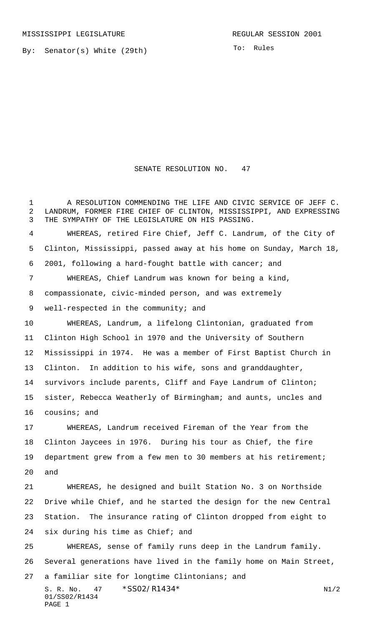MISSISSIPPI LEGISLATURE **REGULAR SESSION 2001** 

PAGE 1

By: Senator(s) White (29th)

To: Rules

## SENATE RESOLUTION NO. 47

S. R. No. 47 \* SS02/R1434\* N1/2 01/SS02/R1434 A RESOLUTION COMMENDING THE LIFE AND CIVIC SERVICE OF JEFF C. LANDRUM, FORMER FIRE CHIEF OF CLINTON, MISSISSIPPI, AND EXPRESSING THE SYMPATHY OF THE LEGISLATURE ON HIS PASSING. WHEREAS, retired Fire Chief, Jeff C. Landrum, of the City of Clinton, Mississippi, passed away at his home on Sunday, March 18, 2001, following a hard-fought battle with cancer; and WHEREAS, Chief Landrum was known for being a kind, compassionate, civic-minded person, and was extremely 9 well-respected in the community; and WHEREAS, Landrum, a lifelong Clintonian, graduated from Clinton High School in 1970 and the University of Southern Mississippi in 1974. He was a member of First Baptist Church in Clinton. In addition to his wife, sons and granddaughter, survivors include parents, Cliff and Faye Landrum of Clinton; sister, Rebecca Weatherly of Birmingham; and aunts, uncles and cousins; and WHEREAS, Landrum received Fireman of the Year from the Clinton Jaycees in 1976. During his tour as Chief, the fire department grew from a few men to 30 members at his retirement; and WHEREAS, he designed and built Station No. 3 on Northside Drive while Chief, and he started the design for the new Central Station. The insurance rating of Clinton dropped from eight to six during his time as Chief; and WHEREAS, sense of family runs deep in the Landrum family. Several generations have lived in the family home on Main Street, a familiar site for longtime Clintonians; and